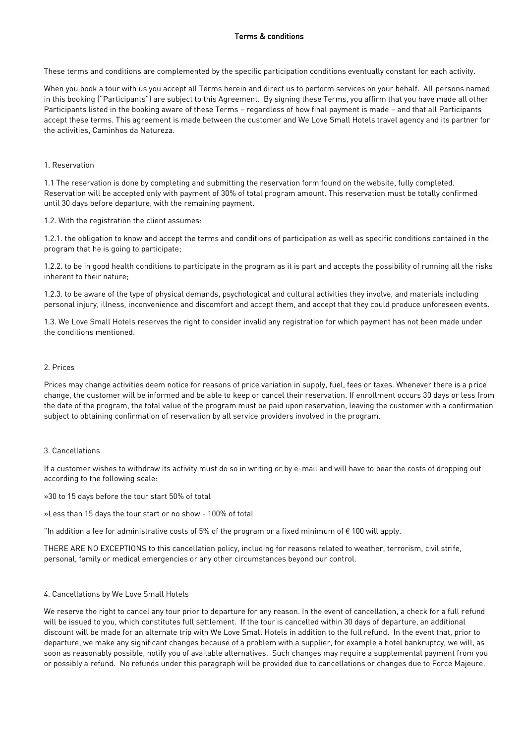These terms and conditions are complemented by the specific participation conditions eventually constant for each activity.

When you book a tour with us you accept all Terms herein and direct us to perform services on your behalf. All persons named<br>in this booking ("Participants") are subject to this Agreement. By signing these Terms, you affir Participants listed in the booking aware of these Terms - regardless of how final payment is made - and that all Participants accept these terms. This agreement is made between the customer and We Love Small Hotels travel agency and its partner for the activities, Caminhos da Natureza. the activities, Caminhos da Natureza.

# 1 Reservation

1.1 The reservation is done by completing and submitting the reservation form found on the website, fully completed.  $R_{\text{R}}$  and  $R_{\text{R}}$  of total program amount. This reservation with the constant  $\frac{1}{20}$  develops be totally confirmed on  $\frac{1}{20}$  develops to the total program amount. until 30 days before departure, with the remaining payment.

1.2. With the registration the client assumes:

 $1.2.1.$  the object to condition to the obligation and conditions of participation as well as specific conditions conditions conditions conditions conditions conditions conditions conditions conditions conditions conditio program that he is going to participate;  $\frac{1}{2}$ 

1.2.2. to be in good health conditions to participate in the program as it is part and accepts the possibility of running all the risks<br>inherent to their nature:  $\cdots$ inherent to their nature;

 $\frac{1}{2}$  to  $\frac{1}{2}$  to  $\frac{1}{2}$  are also because of the type of the type of the type of the type of produce, unforces and materials in personal injury, illness, inconvenience and discomfort and accept them, and accept that they could produce unforeseen events.

1.3. We Love Small Hotels reserves the right to consider invalid any registration for which payment has not been made under

Prices may change activities deem notice for reasons of price variation in supply, fuel, fees or taxes. Whenever there is a price<br>change, the customer will be informed and be able to keep or cancel their reservation. If en the date of the program, the total value of the program must be paid upon reservation, leaving the customer with a confirmation  $t_{\rm c}$  denote the obtaining confirmation of reservation by all service providers involved in the program subject to obtaining confirmation of reservation by all service providers involved in the program.

 $\frac{1}{2}$  a costs of the following costs. according to the following scale:

 $\mathcal{S}$  to 15 days before the total 50% of total 50% of total 50% of total 50% of total 50% of total 50% of total 50% of total 50% of total 50% of total 50% of total 50% of total 50% of total 50% of total 50% of total 50

»Less than 15 days the tour start or no show - 100% of total

"In addition a fee for administrative costs of 5% of the program or a fixed minimum of  $\epsilon$  100 will apply.

 $T_{\text{preval}}$   $\text{F}_{\text{preval}}$  to the second policy, including for reasons related to  $\text{F}_{\text{preval}}$   $\text{F}_{\text{preval}}$ ,  $\text{F}_{\text{preval}}$ ,  $\text{F}_{\text{preval}}$ ,  $\text{F}_{\text{preval}}$ ,  $\text{F}_{\text{preval}}$ ,  $\text{F}_{\text{preval}}$ ,  $\text{F}_{\text{preval}}$ ,  $\text{F}_{\text{preval}}$ ,  $\text{F}_{\$ personal, family or medical emergencies or any other circumstances beyond our control.

## 4. Cancellations by We Love Small Hotels

We reserve the right to cancel any tour prior to departure for any reason. In the event of cancellation, a check for a full refund<br>will be issued to you, which constitutes full settlement. If the tour is cancelled within 3 discount will be made for an alternate trip with We Love Small Hotels in addition to the full refund. In the event that, prior to departure, we make any significant changes because of a problem with a supplier, for example a hotel bankruptcy, we will, as soon as reasonably possible, notify you of available alternatives. Such changes may require a supplemental payment from you so notified as reasonably possible, notified and  $\alpha$  is a reasonable alternatives. Such changes may require a such changes may require a supplemental payment from your require  $\alpha$  such changes may require a supplemental or possibly a refund. No refunds under this paragraph will be provided due to cancellations or changes due to Force Majeure.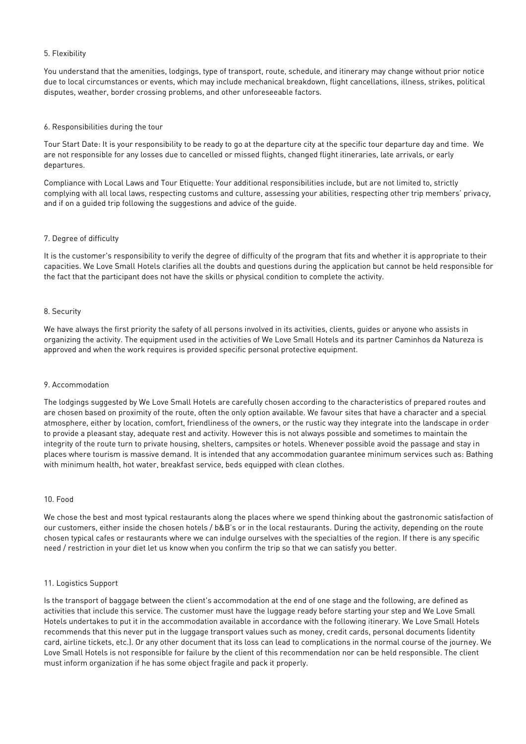# 5. Flexibility

You understand that the amenities, lodgings, type of transport, route, schedule, and itinerary may change without prior notice<br>due to local circumstances or events, which may include mechanical breakdown, flight cancellati  $\alpha$  dignutos worther berder species problems, and ether upforeseeable factors,  $\alpha$ disputes, weather, border crossing problems, and other unforeseeable factors.

# 6. Responsibilities during the tour

To part Date: It is your responsible for any located up to go at the departure city at the specific to go at the departure city at the specific to go at the specific to go at the specific to go and time. We are well as  $\$ departures due to cancelled or missed flights, changed flights, changed flights, changed flights, changed flights, or early or early late arrivals, or early late arrivals, or early late arrivals, or early late arrivals, or departures.

Compliance with Local Laws and Tour Etiquette: Your additional responsibilities include, but are not limited to, strictly and if on a quided trip following the suggestions and advice of the quide. and if on a guided trip following the suggestions and advice of the guide.

# 7. Degree of difficulty

It is the customer's responsibility to verify the degree of difficulty of the program that fits and whether it is appropriate to their<br>capacities. We Love Small Hotels clarifies all the doubts and questions during the appl the fact that the participant does not have the skills or physical condition to complete the activity. the fact that the participant does not have the skills or physical condition to complete the activity.

# 8. Security

We have always the first priority the safety of all persons involved in its activities, clients, guides or anyone who assists in<br>organizing the activity. The equipment used in the activities of We Love Small Hotels and its organizing the activity. The equipment used in the activities of We Love Small Hotels and its partner Caminhos da Natureza is approved and when the work requires is provided specific personal protective equipment.

## 9 Accommodation

The lodgings suggested by We Love Small Hotels are carefully chosen according to the characteristics of prepared routes and<br>are chosen based on proximity of the route, often the only option available. We favour sites that atmosphere, either by location, comfort, friendliness of the owners, or the rustic way they integrate into the landscape in order to provide a pleasant stay, adequate rest and activity. However this is not always possible and sometimes to maintain the integrity of the route turn to private housing, shelters, campsites or hotels. Whenever possible avoid the passage and stay in places where tourism is massive demand. It is intended that any accommodation quarantee minimum services such as: Bathing places where to make that where the skin terminism is demand that along defined  $\frac{1}{2}$ with minimum health, hot water, breakfast service, breakfast service, beds equipped with clean clean clean clean

# 10. Food

We chose the best and most typical restaurants along the places where we spend thinking about the gastronomic satisfaction of<br>our customers, either inside the chosen hotels / b&B's or in the local restaurants. During the a chosen typical cafes or restaurants where we can indulge ourselves with the specialties of the region. If there is any specific chosen typical capacity where we can induce the region of the special capacity we can estimate the region. If there is any specific we we can estimate the region of the region of the region. If there is any specific we wan need / restriction in your diet let us know when you confirm the trip so that we can satisfy you better.

# 11. Logistics Support

Is the transport of baggage between the client's accommodation at the end of one stage and the following, are defined as<br>activities that include this service. The customer must have the luggage ready before starting your s Hotels undertakes to put it in the accommodation available in accordance with the following itinerary. We Love Small Hotels recommends that this never put in the luggage transport values such as money, credit cards, personal documents (identity card, airline tickets, etc.). Or any other document that its loss can lead to complications in the normal course of the journey. We Love Small Hotels is not responsible for failure by the client of this recommendation nor can be held responsible. The client  $\frac{1}{\sqrt{2}}$  and  $\frac{1}{\sqrt{2}}$  is not responsible for  $\frac{1}{\sqrt{2}}$  and  $\frac{1}{\sqrt{2}}$  recommendation nor can be held responsible. The comment of this recommendation is the commendation is the commendation of the commendation must inform organization if he has some object fragile and pack it properly.